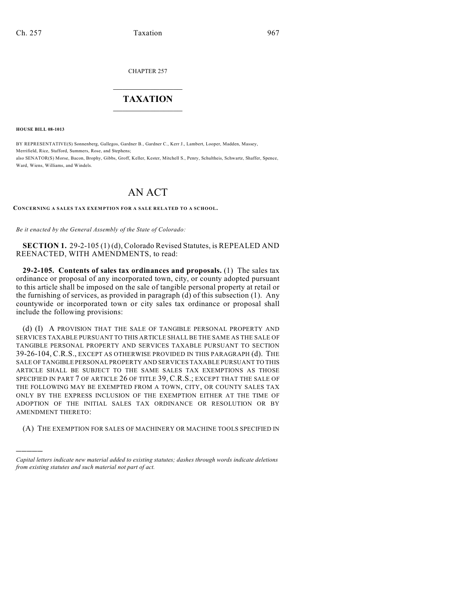CHAPTER 257

## $\overline{\phantom{a}}$  . The set of the set of the set of the set of the set of the set of the set of the set of the set of the set of the set of the set of the set of the set of the set of the set of the set of the set of the set o **TAXATION**  $\_$

**HOUSE BILL 08-1013**

)))))

BY REPRESENTATIVE(S) Sonnenberg, Gallegos, Gardner B., Gardner C., Kerr J., Lambert, Looper, Madden, Massey, Merrifield, Rice, Stafford, Summers, Rose, and Stephens; also SENATOR(S) Morse, Bacon, Brophy, Gibbs, Groff, Keller, Kester, Mitchell S., Penry, Schultheis, Schwartz, Shaffer, Spence, Ward, Wiens, Williams, and Windels.

## AN ACT

## **CONCERNING A SALES TAX EXEMPTION FOR A SALE RELATED TO A SCHOOL.**

*Be it enacted by the General Assembly of the State of Colorado:*

**SECTION 1.** 29-2-105 (1) (d), Colorado Revised Statutes, is REPEALED AND REENACTED, WITH AMENDMENTS, to read:

**29-2-105. Contents of sales tax ordinances and proposals.** (1) The sales tax ordinance or proposal of any incorporated town, city, or county adopted pursuant to this article shall be imposed on the sale of tangible personal property at retail or the furnishing of services, as provided in paragraph (d) of this subsection (1). Any countywide or incorporated town or city sales tax ordinance or proposal shall include the following provisions:

(d) (I) A PROVISION THAT THE SALE OF TANGIBLE PERSONAL PROPERTY AND SERVICES TAXABLE PURSUANT TO THIS ARTICLE SHALL BE THE SAME AS THE SALE OF TANGIBLE PERSONAL PROPERTY AND SERVICES TAXABLE PURSUANT TO SECTION 39-26-104, C.R.S., EXCEPT AS OTHERWISE PROVIDED IN THIS PARAGRAPH (d). THE SALE OF TANGIBLE PERSONAL PROPERTY AND SERVICES TAXABLE PURSUANT TO THIS ARTICLE SHALL BE SUBJECT TO THE SAME SALES TAX EXEMPTIONS AS THOSE SPECIFIED IN PART 7 OF ARTICLE 26 OF TITLE 39, C.R.S.; EXCEPT THAT THE SALE OF THE FOLLOWING MAY BE EXEMPTED FROM A TOWN, CITY, OR COUNTY SALES TAX ONLY BY THE EXPRESS INCLUSION OF THE EXEMPTION EITHER AT THE TIME OF ADOPTION OF THE INITIAL SALES TAX ORDINANCE OR RESOLUTION OR BY AMENDMENT THERETO:

(A) THE EXEMPTION FOR SALES OF MACHINERY OR MACHINE TOOLS SPECIFIED IN

*Capital letters indicate new material added to existing statutes; dashes through words indicate deletions from existing statutes and such material not part of act.*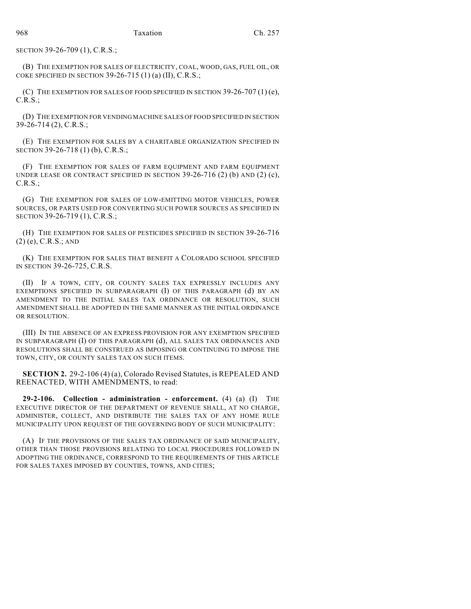SECTION 39-26-709 (1), C.R.S.;

(B) THE EXEMPTION FOR SALES OF ELECTRICITY, COAL, WOOD, GAS, FUEL OIL, OR COKE SPECIFIED IN SECTION 39-26-715  $(1)$   $(a)$   $(II)$ , C.R.S.;

(C) THE EXEMPTION FOR SALES OF FOOD SPECIFIED IN SECTION  $39-26-707(1)(e)$ , C.R.S.;

(D) THE EXEMPTION FOR VENDING MACHINE SALES OF FOOD SPECIFIED IN SECTION 39-26-714 (2), C.R.S.;

(E) THE EXEMPTION FOR SALES BY A CHARITABLE ORGANIZATION SPECIFIED IN SECTION 39-26-718 (1) (b), C.R.S.;

(F) THE EXEMPTION FOR SALES OF FARM EQUIPMENT AND FARM EQUIPMENT UNDER LEASE OR CONTRACT SPECIFIED IN SECTION  $39-26-716$  (2) (b) AND (2) (c), C.R.S.;

(G) THE EXEMPTION FOR SALES OF LOW-EMITTING MOTOR VEHICLES, POWER SOURCES, OR PARTS USED FOR CONVERTING SUCH POWER SOURCES AS SPECIFIED IN SECTION 39-26-719 (1), C.R.S.;

(H) THE EXEMPTION FOR SALES OF PESTICIDES SPECIFIED IN SECTION 39-26-716 (2) (e), C.R.S.; AND

(K) THE EXEMPTION FOR SALES THAT BENEFIT A COLORADO SCHOOL SPECIFIED IN SECTION 39-26-725, C.R.S.

(II) IF A TOWN, CITY, OR COUNTY SALES TAX EXPRESSLY INCLUDES ANY EXEMPTIONS SPECIFIED IN SUBPARAGRAPH (I) OF THIS PARAGRAPH (d) BY AN AMENDMENT TO THE INITIAL SALES TAX ORDINANCE OR RESOLUTION, SUCH AMENDMENT SHALL BE ADOPTED IN THE SAME MANNER AS THE INITIAL ORDINANCE OR RESOLUTION.

(III) IN THE ABSENCE OF AN EXPRESS PROVISION FOR ANY EXEMPTION SPECIFIED IN SUBPARAGRAPH (I) OF THIS PARAGRAPH (d), ALL SALES TAX ORDINANCES AND RESOLUTIONS SHALL BE CONSTRUED AS IMPOSING OR CONTINUING TO IMPOSE THE TOWN, CITY, OR COUNTY SALES TAX ON SUCH ITEMS.

**SECTION 2.** 29-2-106 (4) (a), Colorado Revised Statutes, is REPEALED AND REENACTED, WITH AMENDMENTS, to read:

**29-2-106. Collection - administration - enforcement.** (4) (a) (I) THE EXECUTIVE DIRECTOR OF THE DEPARTMENT OF REVENUE SHALL, AT NO CHARGE, ADMINISTER, COLLECT, AND DISTRIBUTE THE SALES TAX OF ANY HOME RULE MUNICIPALITY UPON REQUEST OF THE GOVERNING BODY OF SUCH MUNICIPALITY:

(A) IF THE PROVISIONS OF THE SALES TAX ORDINANCE OF SAID MUNICIPALITY, OTHER THAN THOSE PROVISIONS RELATING TO LOCAL PROCEDURES FOLLOWED IN ADOPTING THE ORDINANCE, CORRESPOND TO THE REQUIREMENTS OF THIS ARTICLE FOR SALES TAXES IMPOSED BY COUNTIES, TOWNS, AND CITIES;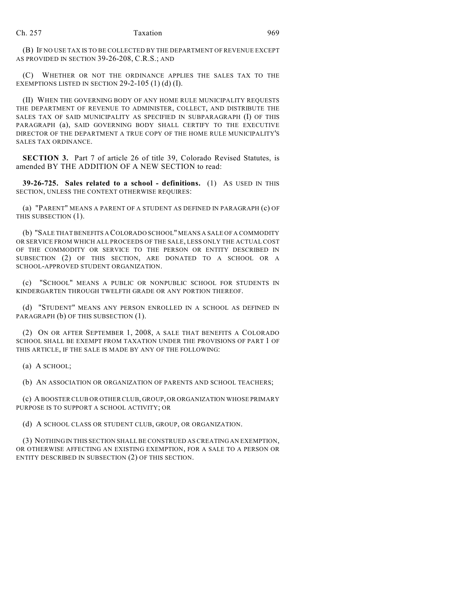(B) IF NO USE TAX IS TO BE COLLECTED BY THE DEPARTMENT OF REVENUE EXCEPT AS PROVIDED IN SECTION 39-26-208, C.R.S.; AND

(C) WHETHER OR NOT THE ORDINANCE APPLIES THE SALES TAX TO THE EXEMPTIONS LISTED IN SECTION  $29-2-105$  (1) (d) (I).

(II) WHEN THE GOVERNING BODY OF ANY HOME RULE MUNICIPALITY REQUESTS THE DEPARTMENT OF REVENUE TO ADMINISTER, COLLECT, AND DISTRIBUTE THE SALES TAX OF SAID MUNICIPALITY AS SPECIFIED IN SUBPARAGRAPH (I) OF THIS PARAGRAPH (a), SAID GOVERNING BODY SHALL CERTIFY TO THE EXECUTIVE DIRECTOR OF THE DEPARTMENT A TRUE COPY OF THE HOME RULE MUNICIPALITY'S SALES TAX ORDINANCE.

**SECTION 3.** Part 7 of article 26 of title 39, Colorado Revised Statutes, is amended BY THE ADDITION OF A NEW SECTION to read:

**39-26-725. Sales related to a school - definitions.** (1) AS USED IN THIS SECTION, UNLESS THE CONTEXT OTHERWISE REQUIRES:

(a) "PARENT" MEANS A PARENT OF A STUDENT AS DEFINED IN PARAGRAPH (c) OF THIS SUBSECTION (1).

(b) "SALE THAT BENEFITS A COLORADO SCHOOL" MEANS A SALE OF A COMMODITY OR SERVICE FROM WHICH ALL PROCEEDS OF THE SALE, LESS ONLY THE ACTUAL COST OF THE COMMODITY OR SERVICE TO THE PERSON OR ENTITY DESCRIBED IN SUBSECTION (2) OF THIS SECTION, ARE DONATED TO A SCHOOL OR A SCHOOL-APPROVED STUDENT ORGANIZATION.

(c) "SCHOOL" MEANS A PUBLIC OR NONPUBLIC SCHOOL FOR STUDENTS IN KINDERGARTEN THROUGH TWELFTH GRADE OR ANY PORTION THEREOF.

(d) "STUDENT" MEANS ANY PERSON ENROLLED IN A SCHOOL AS DEFINED IN PARAGRAPH (b) OF THIS SUBSECTION (1).

(2) ON OR AFTER SEPTEMBER 1, 2008, A SALE THAT BENEFITS A COLORADO SCHOOL SHALL BE EXEMPT FROM TAXATION UNDER THE PROVISIONS OF PART 1 OF THIS ARTICLE, IF THE SALE IS MADE BY ANY OF THE FOLLOWING:

(a) A SCHOOL;

(b) AN ASSOCIATION OR ORGANIZATION OF PARENTS AND SCHOOL TEACHERS;

(c) A BOOSTER CLUB OR OTHER CLUB, GROUP, OR ORGANIZATION WHOSE PRIMARY PURPOSE IS TO SUPPORT A SCHOOL ACTIVITY; OR

(d) A SCHOOL CLASS OR STUDENT CLUB, GROUP, OR ORGANIZATION.

(3) NOTHING IN THIS SECTION SHALL BE CONSTRUED AS CREATING AN EXEMPTION, OR OTHERWISE AFFECTING AN EXISTING EXEMPTION, FOR A SALE TO A PERSON OR ENTITY DESCRIBED IN SUBSECTION (2) OF THIS SECTION.